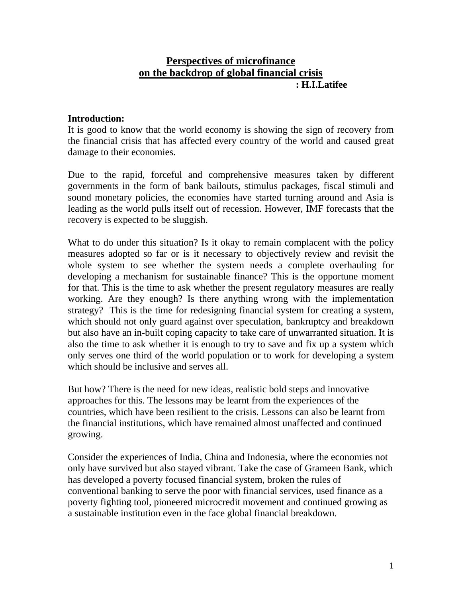# **Perspectives of microfinance on the backdrop of global financial crisis : H.I.Latifee**

#### **Introduction:**

It is good to know that the world economy is showing the sign of recovery from the financial crisis that has affected every country of the world and caused great damage to their economies.

Due to the rapid, forceful and comprehensive measures taken by different governments in the form of bank bailouts, stimulus packages, fiscal stimuli and sound monetary policies, the economies have started turning around and Asia is leading as the world pulls itself out of recession. However, IMF forecasts that the recovery is expected to be sluggish.

What to do under this situation? Is it okay to remain complacent with the policy measures adopted so far or is it necessary to objectively review and revisit the whole system to see whether the system needs a complete overhauling for developing a mechanism for sustainable finance? This is the opportune moment for that. This is the time to ask whether the present regulatory measures are really working. Are they enough? Is there anything wrong with the implementation strategy? This is the time for redesigning financial system for creating a system, which should not only guard against over speculation, bankruptcy and breakdown but also have an in-built coping capacity to take care of unwarranted situation. It is also the time to ask whether it is enough to try to save and fix up a system which only serves one third of the world population or to work for developing a system which should be inclusive and serves all.

But how? There is the need for new ideas, realistic bold steps and innovative approaches for this. The lessons may be learnt from the experiences of the countries, which have been resilient to the crisis. Lessons can also be learnt from the financial institutions, which have remained almost unaffected and continued growing.

Consider the experiences of India, China and Indonesia, where the economies not only have survived but also stayed vibrant. Take the case of Grameen Bank, which has developed a poverty focused financial system, broken the rules of conventional banking to serve the poor with financial services, used finance as a poverty fighting tool, pioneered microcredit movement and continued growing as a sustainable institution even in the face global financial breakdown.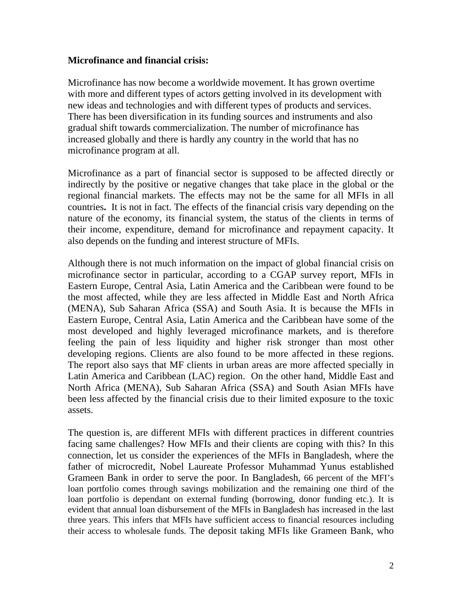#### **Microfinance and financial crisis:**

Microfinance has now become a worldwide movement. It has grown overtime with more and different types of actors getting involved in its development with new ideas and technologies and with different types of products and services. There has been diversification in its funding sources and instruments and also gradual shift towards commercialization. The number of microfinance has increased globally and there is hardly any country in the world that has no microfinance program at all.

Microfinance as a part of financial sector is supposed to be affected directly or indirectly by the positive or negative changes that take place in the global or the regional financial markets. The effects may not be the same for all MFIs in all countries**.** It is not in fact. The effects of the financial crisis vary depending on the nature of the economy, its financial system, the status of the clients in terms of their income, expenditure, demand for microfinance and repayment capacity. It also depends on the funding and interest structure of MFIs.

Although there is not much information on the impact of global financial crisis on microfinance sector in particular, according to a CGAP survey report, MFIs in Eastern Europe, Central Asia, Latin America and the Caribbean were found to be the most affected, while they are less affected in Middle East and North Africa (MENA), Sub Saharan Africa (SSA) and South Asia. It is because the MFIs in Eastern Europe, Central Asia, Latin America and the Caribbean have some of the most developed and highly leveraged microfinance markets, and is therefore feeling the pain of less liquidity and higher risk stronger than most other developing regions. Clients are also found to be more affected in these regions. The report also says that MF clients in urban areas are more affected specially in Latin America and Caribbean (LAC) region. On the other hand, Middle East and North Africa (MENA), Sub Saharan Africa (SSA) and South Asian MFIs have been less affected by the financial crisis due to their limited exposure to the toxic assets.

The question is, are different MFIs with different practices in different countries facing same challenges? How MFIs and their clients are coping with this? In this connection, let us consider the experiences of the MFIs in Bangladesh, where the father of microcredit, Nobel Laureate Professor Muhammad Yunus established Grameen Bank in order to serve the poor. In Bangladesh, 66 percent of the MFI's loan portfolio comes through savings mobilization and the remaining one third of the loan portfolio is dependant on external funding (borrowing, donor funding etc.). It is evident that annual loan disbursement of the MFIs in Bangladesh has increased in the last three years. This infers that MFIs have sufficient access to financial resources including their access to wholesale funds. The deposit taking MFIs like Grameen Bank, who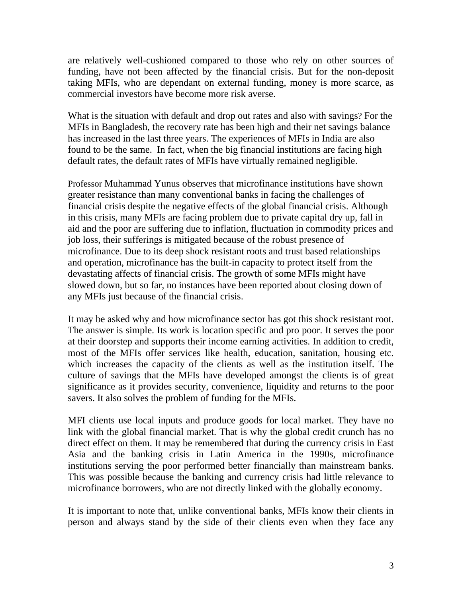are relatively well-cushioned compared to those who rely on other sources of funding, have not been affected by the financial crisis. But for the non-deposit taking MFIs, who are dependant on external funding, money is more scarce, as commercial investors have become more risk averse.

What is the situation with default and drop out rates and also with savings? For the MFIs in Bangladesh, the recovery rate has been high and their net savings balance has increased in the last three years. The experiences of MFIs in India are also found to be the same. In fact, when the big financial institutions are facing high default rates, the default rates of MFIs have virtually remained negligible.

Professor Muhammad Yunus observes that microfinance institutions have shown greater resistance than many conventional banks in facing the challenges of financial crisis despite the negative effects of the global financial crisis. Although in this crisis, many MFIs are facing problem due to private capital dry up, fall in aid and the poor are suffering due to inflation, fluctuation in commodity prices and job loss, their sufferings is mitigated because of the robust presence of microfinance. Due to its deep shock resistant roots and trust based relationships and operation, microfinance has the built-in capacity to protect itself from the devastating affects of financial crisis. The growth of some MFIs might have slowed down, but so far, no instances have been reported about closing down of any MFIs just because of the financial crisis.

It may be asked why and how microfinance sector has got this shock resistant root. The answer is simple. Its work is location specific and pro poor. It serves the poor at their doorstep and supports their income earning activities. In addition to credit, most of the MFIs offer services like health, education, sanitation, housing etc. which increases the capacity of the clients as well as the institution itself. The culture of savings that the MFIs have developed amongst the clients is of great significance as it provides security, convenience, liquidity and returns to the poor savers. It also solves the problem of funding for the MFIs.

MFI clients use local inputs and produce goods for local market. They have no link with the global financial market. That is why the global credit crunch has no direct effect on them. It may be remembered that during the currency crisis in East Asia and the banking crisis in Latin America in the 1990s, microfinance institutions serving the poor performed better financially than mainstream banks. This was possible because the banking and currency crisis had little relevance to microfinance borrowers, who are not directly linked with the globally economy.

It is important to note that, unlike conventional banks, MFIs know their clients in person and always stand by the side of their clients even when they face any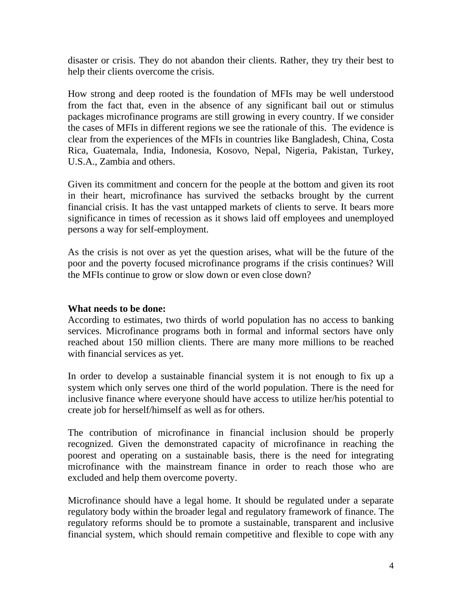disaster or crisis. They do not abandon their clients. Rather, they try their best to help their clients overcome the crisis.

How strong and deep rooted is the foundation of MFIs may be well understood from the fact that, even in the absence of any significant bail out or stimulus packages microfinance programs are still growing in every country. If we consider the cases of MFIs in different regions we see the rationale of this. The evidence is clear from the experiences of the MFIs in countries like Bangladesh, China, Costa Rica, Guatemala, India, Indonesia, Kosovo, Nepal, Nigeria, Pakistan, Turkey, U.S.A., Zambia and others.

Given its commitment and concern for the people at the bottom and given its root in their heart, microfinance has survived the setbacks brought by the current financial crisis. It has the vast untapped markets of clients to serve. It bears more significance in times of recession as it shows laid off employees and unemployed persons a way for self-employment.

As the crisis is not over as yet the question arises, what will be the future of the poor and the poverty focused microfinance programs if the crisis continues? Will the MFIs continue to grow or slow down or even close down?

### **What needs to be done:**

According to estimates, two thirds of world population has no access to banking services. Microfinance programs both in formal and informal sectors have only reached about 150 million clients. There are many more millions to be reached with financial services as yet.

In order to develop a sustainable financial system it is not enough to fix up a system which only serves one third of the world population. There is the need for inclusive finance where everyone should have access to utilize her/his potential to create job for herself/himself as well as for others.

The contribution of microfinance in financial inclusion should be properly recognized. Given the demonstrated capacity of microfinance in reaching the poorest and operating on a sustainable basis, there is the need for integrating microfinance with the mainstream finance in order to reach those who are excluded and help them overcome poverty.

Microfinance should have a legal home. It should be regulated under a separate regulatory body within the broader legal and regulatory framework of finance. The regulatory reforms should be to promote a sustainable, transparent and inclusive financial system, which should remain competitive and flexible to cope with any